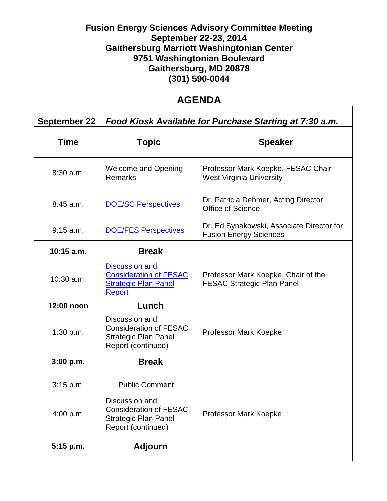## **Fusion Energy Sciences Advisory Committee Meeting September 22-23, 2014 Gaithersburg Marriott Washingtonian Center 9751 Washingtonian Boulevard Gaithersburg, MD 20878 (301) 590-0044**

## **AGENDA**

| <b>September 22</b> | Food Kiosk Available for Purchase Starting at 7:30 a.m.                                                |                                                                            |
|---------------------|--------------------------------------------------------------------------------------------------------|----------------------------------------------------------------------------|
| <b>Time</b>         | <b>Topic</b>                                                                                           | <b>Speaker</b>                                                             |
| $8:30$ a.m.         | <b>Welcome and Opening</b><br><b>Remarks</b>                                                           | Professor Mark Koepke, FESAC Chair<br><b>West Virginia University</b>      |
| $8:45$ a.m.         | <b>DOE/SC Perspectives</b>                                                                             | Dr. Patricia Dehmer, Acting Director<br>Office of Science                  |
| 9:15 a.m.           | <b>DOE/FES Perspectives</b>                                                                            | Dr. Ed Synakowski, Associate Director for<br><b>Fusion Energy Sciences</b> |
| $10:15$ a.m.        | <b>Break</b>                                                                                           |                                                                            |
| $10:30$ a.m.        | <b>Discussion and</b><br><b>Consideration of FESAC</b><br><b>Strategic Plan Panel</b><br><b>Report</b> | Professor Mark Koepke, Chair of the<br><b>FESAC Strategic Plan Panel</b>   |
| 12:00 noon          | Lunch                                                                                                  |                                                                            |
| 1:30 p.m.           | Discussion and<br><b>Consideration of FESAC</b><br><b>Strategic Plan Panel</b><br>Report (continued)   | Professor Mark Koepke                                                      |
| 3:00 p.m.           | <b>Break</b>                                                                                           |                                                                            |
| 3:15 p.m.           | <b>Public Comment</b>                                                                                  |                                                                            |
| 4:00 p.m.           | Discussion and<br><b>Consideration of FESAC</b><br><b>Strategic Plan Panel</b><br>Report (continued)   | Professor Mark Koepke                                                      |
| $5:15$ p.m.         | <b>Adjourn</b>                                                                                         |                                                                            |